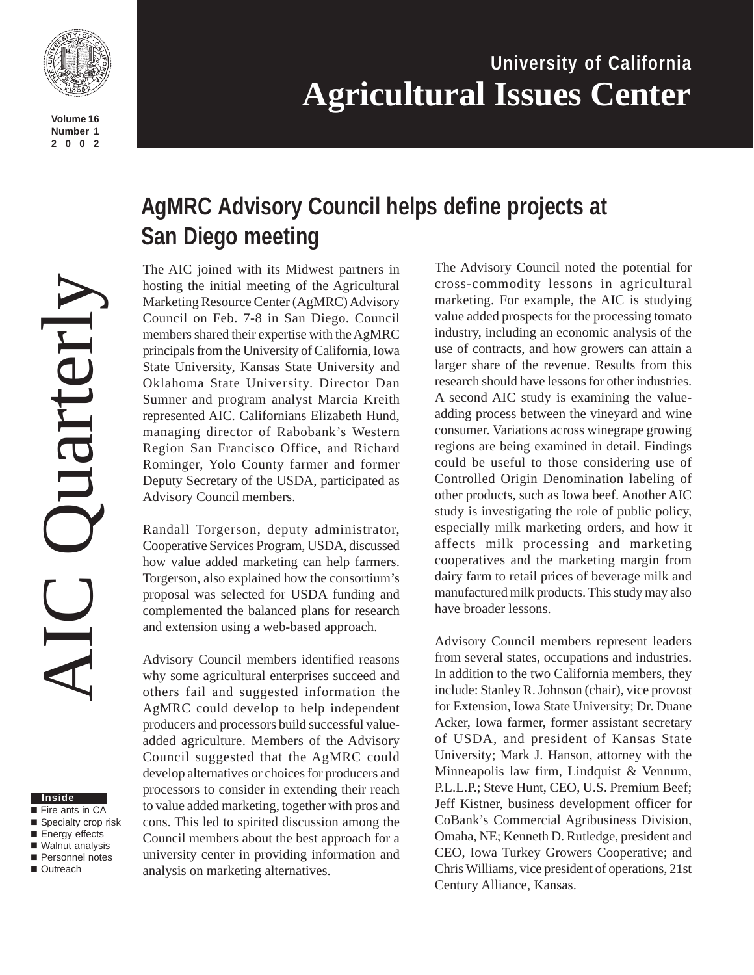

**Volume 16 Number 1 2002**

# **University of California Agricultural Issues Center**

# **AgMRC Advisory Council helps define projects at San Diego meeting**

The AIC joined with its Midwest partners in hosting the initial meeting of the Agricultural Marketing Resource Center (AgMRC) Advisory Council on Feb. 7-8 in San Diego. Council members shared their expertise with the AgMRC principals from the University of California, Iowa State University, Kansas State University and Oklahoma State University. Director Dan Sumner and program analyst Marcia Kreith represented AIC. Californians Elizabeth Hund, managing director of Rabobank's Western Region San Francisco Office, and Richard Rominger, Yolo County farmer and former Deputy Secretary of the USDA, participated as Advisory Council members.

Randall Torgerson, deputy administrator, Cooperative Services Program, USDA, discussed how value added marketing can help farmers. Torgerson, also explained how the consortium's proposal was selected for USDA funding and complemented the balanced plans for research and extension using a web-based approach.

Advisory Council members identified reasons why some agricultural enterprises succeed and others fail and suggested information the AgMRC could develop to help independent producers and processors build successful valueadded agriculture. Members of the Advisory Council suggested that the AgMRC could develop alternatives or choices for producers and processors to consider in extending their reach to value added marketing, together with pros and cons. This led to spirited discussion among the Council members about the best approach for a university center in providing information and analysis on marketing alternatives.

The Advisory Council noted the potential for cross-commodity lessons in agricultural marketing. For example, the AIC is studying value added prospects for the processing tomato industry, including an economic analysis of the use of contracts, and how growers can attain a larger share of the revenue. Results from this research should have lessons for other industries. A second AIC study is examining the valueadding process between the vineyard and wine consumer. Variations across winegrape growing regions are being examined in detail. Findings could be useful to those considering use of Controlled Origin Denomination labeling of other products, such as Iowa beef. Another AIC study is investigating the role of public policy, especially milk marketing orders, and how it affects milk processing and marketing cooperatives and the marketing margin from dairy farm to retail prices of beverage milk and manufactured milk products. This study may also have broader lessons.

Advisory Council members represent leaders from several states, occupations and industries. In addition to the two California members, they include: Stanley R. Johnson (chair), vice provost for Extension, Iowa State University; Dr. Duane Acker, Iowa farmer, former assistant secretary of USDA, and president of Kansas State University; Mark J. Hanson, attorney with the Minneapolis law firm, Lindquist & Vennum, P.L.L.P.; Steve Hunt, CEO, U.S. Premium Beef; Jeff Kistner, business development officer for CoBank's Commercial Agribusiness Division, Omaha, NE; Kenneth D. Rutledge, president and CEO, Iowa Turkey Growers Cooperative; and Chris Williams, vice president of operations, 21st Century Alliance, Kansas.

#### **Inside**

- Fire ants in CA ■ Specialty crop risk
- Energy effects
- Walnut analysis
- **Personnel notes** ■ Outreach
-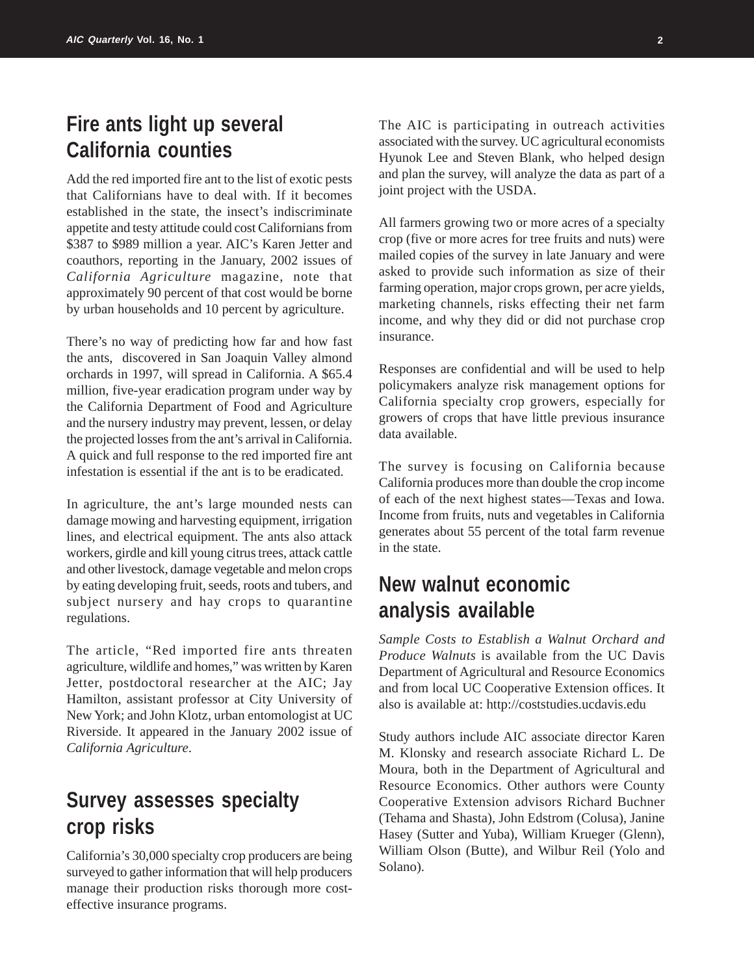# **Fire ants light up several California counties**

Add the red imported fire ant to the list of exotic pests that Californians have to deal with. If it becomes established in the state, the insect's indiscriminate appetite and testy attitude could cost Californians from \$387 to \$989 million a year. AIC's Karen Jetter and coauthors, reporting in the January, 2002 issues of *California Agriculture* magazine, note that approximately 90 percent of that cost would be borne by urban households and 10 percent by agriculture.

There's no way of predicting how far and how fast the ants, discovered in San Joaquin Valley almond orchards in 1997, will spread in California. A \$65.4 million, five-year eradication program under way by the California Department of Food and Agriculture and the nursery industry may prevent, lessen, or delay the projected losses from the ant's arrival in California. A quick and full response to the red imported fire ant infestation is essential if the ant is to be eradicated.

In agriculture, the ant's large mounded nests can damage mowing and harvesting equipment, irrigation lines, and electrical equipment. The ants also attack workers, girdle and kill young citrus trees, attack cattle and other livestock, damage vegetable and melon crops by eating developing fruit, seeds, roots and tubers, and subject nursery and hay crops to quarantine regulations.

The article, "Red imported fire ants threaten agriculture, wildlife and homes," was written by Karen Jetter, postdoctoral researcher at the AIC; Jay Hamilton, assistant professor at City University of New York; and John Klotz, urban entomologist at UC Riverside. It appeared in the January 2002 issue of *California Agriculture*.

# **Survey assesses specialty crop risks**

California's 30,000 specialty crop producers are being surveyed to gather information that will help producers manage their production risks thorough more costeffective insurance programs.

The AIC is participating in outreach activities associated with the survey. UC agricultural economists Hyunok Lee and Steven Blank, who helped design and plan the survey, will analyze the data as part of a joint project with the USDA.

All farmers growing two or more acres of a specialty crop (five or more acres for tree fruits and nuts) were mailed copies of the survey in late January and were asked to provide such information as size of their farming operation, major crops grown, per acre yields, marketing channels, risks effecting their net farm income, and why they did or did not purchase crop insurance.

Responses are confidential and will be used to help policymakers analyze risk management options for California specialty crop growers, especially for growers of crops that have little previous insurance data available.

The survey is focusing on California because California produces more than double the crop income of each of the next highest states—Texas and Iowa. Income from fruits, nuts and vegetables in California generates about 55 percent of the total farm revenue in the state.

# **New walnut economic analysis available**

*Sample Costs to Establish a Walnut Orchard and Produce Walnuts* is available from the UC Davis Department of Agricultural and Resource Economics and from local UC Cooperative Extension offices. It also is available at: http://coststudies.ucdavis.edu

Study authors include AIC associate director Karen M. Klonsky and research associate Richard L. De Moura, both in the Department of Agricultural and Resource Economics. Other authors were County Cooperative Extension advisors Richard Buchner (Tehama and Shasta), John Edstrom (Colusa), Janine Hasey (Sutter and Yuba), William Krueger (Glenn), William Olson (Butte), and Wilbur Reil (Yolo and Solano).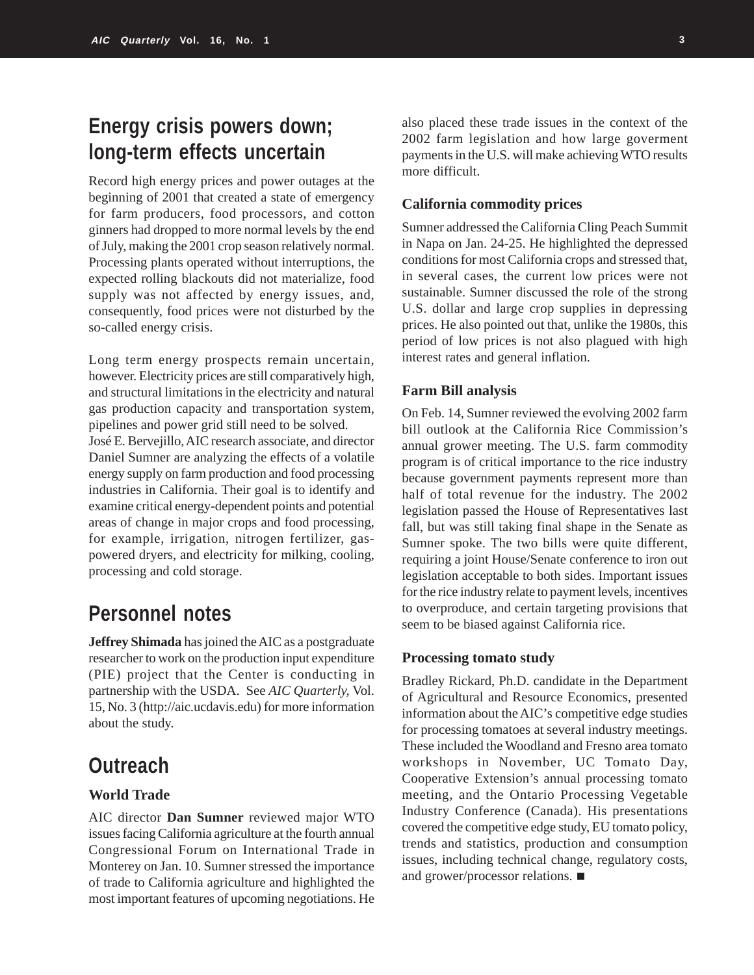# **Energy crisis powers down; long-term effects uncertain**

Record high energy prices and power outages at the beginning of 2001 that created a state of emergency for farm producers, food processors, and cotton ginners had dropped to more normal levels by the end of July, making the 2001 crop season relatively normal. Processing plants operated without interruptions, the expected rolling blackouts did not materialize, food supply was not affected by energy issues, and, consequently, food prices were not disturbed by the so-called energy crisis.

Long term energy prospects remain uncertain, however. Electricity prices are still comparatively high, and structural limitations in the electricity and natural gas production capacity and transportation system, pipelines and power grid still need to be solved.

José E. Bervejillo, AIC research associate, and director Daniel Sumner are analyzing the effects of a volatile energy supply on farm production and food processing industries in California. Their goal is to identify and examine critical energy-dependent points and potential areas of change in major crops and food processing, for example, irrigation, nitrogen fertilizer, gaspowered dryers, and electricity for milking, cooling, processing and cold storage.

# **Personnel notes**

**Jeffrey Shimada** has joined the AIC as a postgraduate researcher to work on the production input expenditure (PIE) project that the Center is conducting in partnership with the USDA. See *AIC Quarterly,* Vol. 15, No. 3 (http://aic.ucdavis.edu) for more information about the study.

## **Outreach**

### **World Trade**

AIC director **Dan Sumner** reviewed major WTO issues facing California agriculture at the fourth annual Congressional Forum on International Trade in Monterey on Jan. 10. Sumner stressed the importance of trade to California agriculture and highlighted the most important features of upcoming negotiations. He

also placed these trade issues in the context of the 2002 farm legislation and how large goverment payments in the U.S. will make achieving WTO results more difficult.

### **California commodity prices**

Sumner addressed the California Cling Peach Summit in Napa on Jan. 24-25. He highlighted the depressed conditions for most California crops and stressed that, in several cases, the current low prices were not sustainable. Sumner discussed the role of the strong U.S. dollar and large crop supplies in depressing prices. He also pointed out that, unlike the 1980s, this period of low prices is not also plagued with high interest rates and general inflation.

### **Farm Bill analysis**

On Feb. 14, Sumner reviewed the evolving 2002 farm bill outlook at the California Rice Commission's annual grower meeting. The U.S. farm commodity program is of critical importance to the rice industry because government payments represent more than half of total revenue for the industry. The 2002 legislation passed the House of Representatives last fall, but was still taking final shape in the Senate as Sumner spoke. The two bills were quite different, requiring a joint House/Senate conference to iron out legislation acceptable to both sides. Important issues for the rice industry relate to payment levels, incentives to overproduce, and certain targeting provisions that seem to be biased against California rice.

### **Processing tomato study**

Bradley Rickard, Ph.D. candidate in the Department of Agricultural and Resource Economics, presented information about the AIC's competitive edge studies for processing tomatoes at several industry meetings. These included the Woodland and Fresno area tomato workshops in November, UC Tomato Day, Cooperative Extension's annual processing tomato meeting, and the Ontario Processing Vegetable Industry Conference (Canada). His presentations covered the competitive edge study, EU tomato policy, trends and statistics, production and consumption issues, including technical change, regulatory costs, and grower/processor relations.